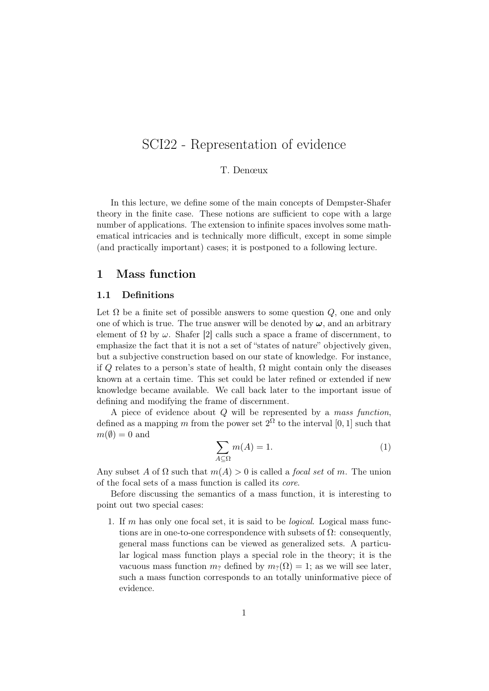# SCI22 - Representation of evidence

#### T. Denœux

In this lecture, we define some of the main concepts of Dempster-Shafer theory in the finite case. These notions are sufficient to cope with a large number of applications. The extension to infinite spaces involves some mathematical intricacies and is technically more difficult, except in some simple (and practically important) cases; it is postponed to a following lecture.

# 1 Mass function

#### 1.1 Definitions

Let  $\Omega$  be a finite set of possible answers to some question  $Q$ , one and only one of which is true. The true answer will be denoted by  $\omega$ , and an arbitrary element of  $\Omega$  by  $\omega$ . Shafer [2] calls such a space a frame of discernment, to emphasize the fact that it is not a set of "states of nature" objectively given, but a subjective construction based on our state of knowledge. For instance, if Q relates to a person's state of health,  $\Omega$  might contain only the diseases known at a certain time. This set could be later refined or extended if new knowledge became available. We call back later to the important issue of defining and modifying the frame of discernment.

A piece of evidence about  $Q$  will be represented by a mass function, defined as a mapping m from the power set  $2^{\Omega}$  to the interval [0, 1] such that  $m(\emptyset) = 0$  and

$$
\sum_{A \subseteq \Omega} m(A) = 1. \tag{1}
$$

Any subset A of  $\Omega$  such that  $m(A) > 0$  is called a *focal set* of m. The union of the focal sets of a mass function is called its core.

Before discussing the semantics of a mass function, it is interesting to point out two special cases:

1. If m has only one focal set, it is said to be logical. Logical mass functions are in one-to-one correspondence with subsets of  $\Omega$ : consequently, general mass functions can be viewed as generalized sets. A particular logical mass function plays a special role in the theory; it is the vacuous mass function  $m_?$  defined by  $m_?(\Omega) = 1$ ; as we will see later, such a mass function corresponds to an totally uninformative piece of evidence.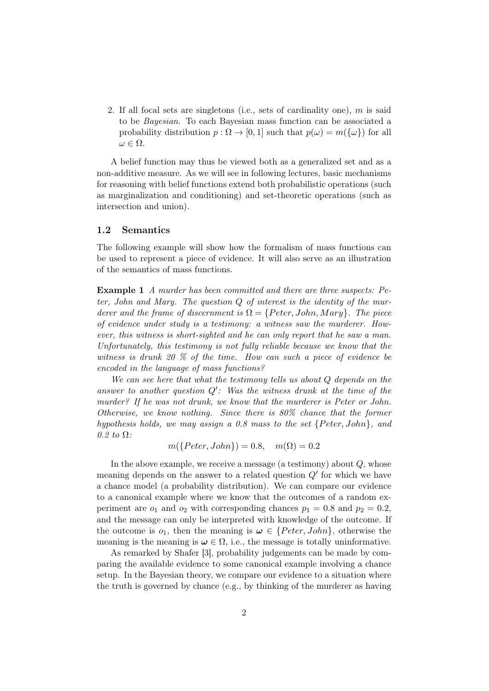2. If all focal sets are singletons (i.e., sets of cardinality one), m is said to be Bayesian. To each Bayesian mass function can be associated a probability distribution  $p : \Omega \to [0, 1]$  such that  $p(\omega) = m({\{\omega\}})$  for all  $\omega \in \Omega$ .

A belief function may thus be viewed both as a generalized set and as a non-additive measure. As we will see in following lectures, basic mechanisms for reasoning with belief functions extend both probabilistic operations (such as marginalization and conditioning) and set-theoretic operations (such as intersection and union).

#### 1.2 Semantics

The following example will show how the formalism of mass functions can be used to represent a piece of evidence. It will also serve as an illustration of the semantics of mass functions.

Example 1 A murder has been committed and there are three suspects: Peter, John and Mary. The question Q of interest is the identity of the murderer and the frame of discernment is  $\Omega = \{Peter, John, Mary\}$ . The piece of evidence under study is a testimony: a witness saw the murderer. However, this witness is short-sighted and he can only report that he saw a man. Unfortunately, this testimony is not fully reliable because we know that the witness is drunk 20 % of the time. How can such a piece of evidence be encoded in the language of mass functions?

We can see here that what the testimony tells us about Q depends on the answer to another question  $Q'$ : Was the witness drunk at the time of the murder? If he was not drunk, we know that the murderer is Peter or John. Otherwise, we know nothing. Since there is 80% chance that the former hypothesis holds, we may assign a 0.8 mass to the set  $\{Peter, John\}$ , and 0.2 to  $\Omega$ :

$$
m({Peter, John}) = 0.8, m(\Omega) = 0.2
$$

In the above example, we receive a message (a testimony) about  $Q$ , whose meaning depends on the answer to a related question  $Q'$  for which we have a chance model (a probability distribution). We can compare our evidence to a canonical example where we know that the outcomes of a random experiment are  $o_1$  and  $o_2$  with corresponding chances  $p_1 = 0.8$  and  $p_2 = 0.2$ , and the message can only be interpreted with knowledge of the outcome. If the outcome is  $o_1$ , then the meaning is  $\omega \in \{Peter, John\}$ , otherwise the meaning is the meaning is  $\omega \in \Omega$ , i.e., the message is totally uninformative.

As remarked by Shafer [3], probability judgements can be made by comparing the available evidence to some canonical example involving a chance setup. In the Bayesian theory, we compare our evidence to a situation where the truth is governed by chance (e.g., by thinking of the murderer as having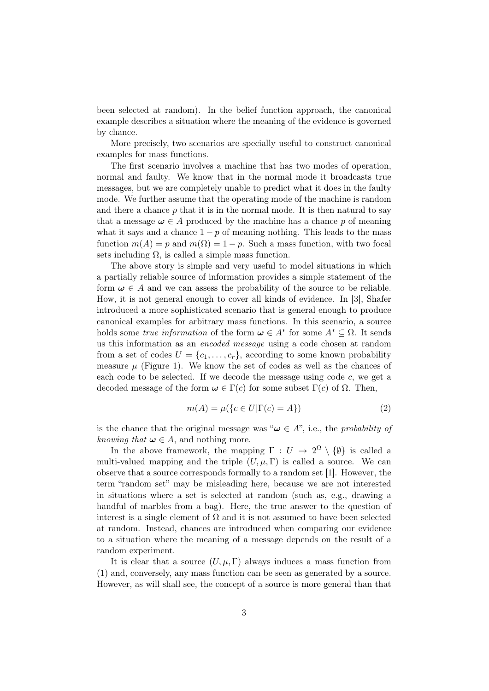been selected at random). In the belief function approach, the canonical example describes a situation where the meaning of the evidence is governed by chance.

More precisely, two scenarios are specially useful to construct canonical examples for mass functions.

The first scenario involves a machine that has two modes of operation, normal and faulty. We know that in the normal mode it broadcasts true messages, but we are completely unable to predict what it does in the faulty mode. We further assume that the operating mode of the machine is random and there a chance  $p$  that it is in the normal mode. It is then natural to say that a message  $\omega \in A$  produced by the machine has a chance p of meaning what it says and a chance  $1 - p$  of meaning nothing. This leads to the mass function  $m(A) = p$  and  $m(\Omega) = 1 - p$ . Such a mass function, with two focal sets including  $\Omega$ , is called a simple mass function.

The above story is simple and very useful to model situations in which a partially reliable source of information provides a simple statement of the form  $\omega \in A$  and we can assess the probability of the source to be reliable. How, it is not general enough to cover all kinds of evidence. In [3], Shafer introduced a more sophisticated scenario that is general enough to produce canonical examples for arbitrary mass functions. In this scenario, a source holds some *true information* of the form  $\boldsymbol{\omega} \in A^*$  for some  $A^* \subseteq \Omega$ . It sends us this information as an encoded message using a code chosen at random from a set of codes  $U = \{c_1, \ldots, c_r\}$ , according to some known probability measure  $\mu$  (Figure 1). We know the set of codes as well as the chances of each code to be selected. If we decode the message using code  $c$ , we get a decoded message of the form  $\omega \in \Gamma(c)$  for some subset  $\Gamma(c)$  of  $\Omega$ . Then,

$$
m(A) = \mu(\lbrace c \in U | \Gamma(c) = A \rbrace)
$$
\n<sup>(2)</sup>

is the chance that the original message was " $\omega \in A$ ", i.e., the *probability of* knowing that  $\omega \in A$ , and nothing more.

In the above framework, the mapping  $\Gamma: U \to 2^{\Omega} \setminus \{\emptyset\}$  is called a multi-valued mapping and the triple  $(U, \mu, \Gamma)$  is called a source. We can observe that a source corresponds formally to a random set [1]. However, the term "random set" may be misleading here, because we are not interested in situations where a set is selected at random (such as, e.g., drawing a handful of marbles from a bag). Here, the true answer to the question of interest is a single element of  $\Omega$  and it is not assumed to have been selected at random. Instead, chances are introduced when comparing our evidence to a situation where the meaning of a message depends on the result of a random experiment.

It is clear that a source  $(U, \mu, \Gamma)$  always induces a mass function from (1) and, conversely, any mass function can be seen as generated by a source. However, as will shall see, the concept of a source is more general than that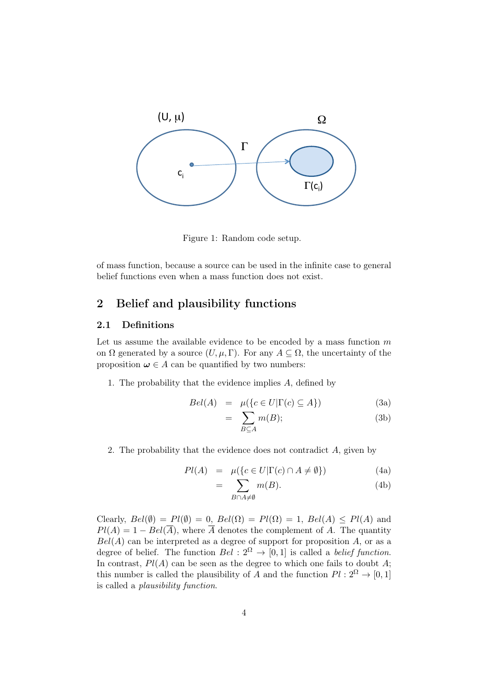

Figure 1: Random code setup.

of mass function, because a source can be used in the infinite case to general belief functions even when a mass function does not exist.

# 2 Belief and plausibility functions

#### 2.1 Definitions

Let us assume the available evidence to be encoded by a mass function  $m$ on  $\Omega$  generated by a source  $(U, \mu, \Gamma)$ . For any  $A \subseteq \Omega$ , the uncertainty of the proposition  $\omega \in A$  can be quantified by two numbers:

1. The probability that the evidence implies A, defined by

$$
Bel(A) = \mu({c \in U | \Gamma(c) \subseteq A})
$$
 (3a)

$$
= \sum_{B \subseteq A} m(B); \tag{3b}
$$

2. The probability that the evidence does not contradict A, given by

$$
Pl(A) = \mu(\lbrace c \in U | \Gamma(c) \cap A \neq \emptyset \rbrace)
$$
 (4a)

$$
= \sum_{B \cap A \neq \emptyset} m(B). \tag{4b}
$$

Clearly,  $Bel(\emptyset) = Pl(\emptyset) = 0$ ,  $Bel(\Omega) = Pl(\Omega) = 1$ ,  $Bel(A) \leq Pl(A)$  and  $Pl(A) = 1 - Bel(\overline{A})$ , where  $\overline{A}$  denotes the complement of A. The quantity  $Bel(A)$  can be interpreted as a degree of support for proposition A, or as a degree of belief. The function  $Bel: 2^{\Omega} \rightarrow [0, 1]$  is called a *belief function*. In contrast,  $Pl(A)$  can be seen as the degree to which one fails to doubt A; this number is called the plausibility of A and the function  $Pl : 2^{\Omega} \to [0, 1]$ is called a plausibility function.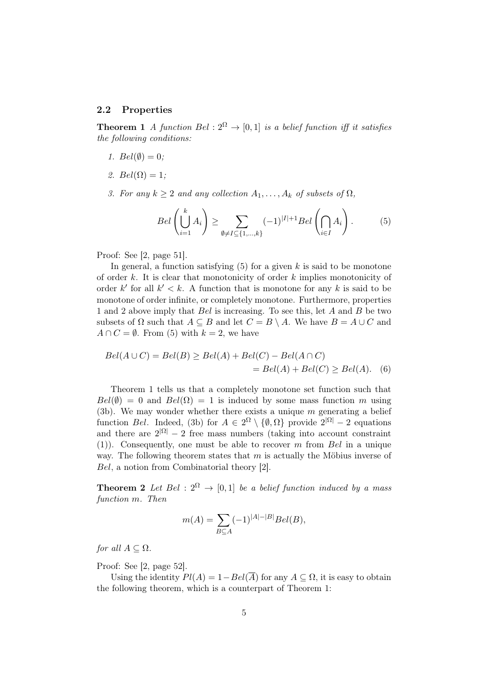#### 2.2 Properties

**Theorem 1** A function Bel :  $2^{\Omega} \rightarrow [0, 1]$  is a belief function iff it satisfies the following conditions:

- 1.  $Bel(\emptyset) = 0;$
- 2.  $Bel(\Omega) = 1;$
- 3. For any  $k \geq 2$  and any collection  $A_1, \ldots, A_k$  of subsets of  $\Omega$ ,

$$
Bel\left(\bigcup_{i=1}^{k} A_i\right) \ge \sum_{\emptyset \ne I \subseteq \{1,\dots,k\}} (-1)^{|I|+1} Bel\left(\bigcap_{i \in I} A_i\right). \tag{5}
$$

Proof: See [2, page 51].

In general, a function satisfying  $(5)$  for a given k is said to be monotone of order  $k$ . It is clear that monotonicity of order  $k$  implies monotonicity of order k' for all  $k' < k$ . A function that is monotone for any k is said to be monotone of order infinite, or completely monotone. Furthermore, properties 1 and 2 above imply that Bel is increasing. To see this, let A and B be two subsets of  $\Omega$  such that  $A \subseteq B$  and let  $C = B \setminus A$ . We have  $B = A \cup C$  and  $A \cap C = \emptyset$ . From (5) with  $k = 2$ , we have

$$
Bel(A \cup C) = Bel(B) \ge Bel(A) + Bel(C) - Bel(A \cap C)
$$
  
= 
$$
Bel(A) + Bel(C) \ge Bel(A).
$$
 (6)

Theorem 1 tells us that a completely monotone set function such that  $Bel(\emptyset) = 0$  and  $Bel(\Omega) = 1$  is induced by some mass function m using (3b). We may wonder whether there exists a unique  $m$  generating a belief function Bel. Indeed, (3b) for  $A \in 2^{\Omega} \setminus \{0, \Omega\}$  provide  $2^{|\Omega|} - 2$  equations and there are  $2^{|\Omega|} - 2$  free mass numbers (taking into account constraint (1)). Consequently, one must be able to recover m from Bel in a unique way. The following theorem states that  $m$  is actually the Möbius inverse of Bel, a notion from Combinatorial theory [2].

**Theorem 2** Let Bel :  $2^{\Omega} \rightarrow [0, 1]$  be a belief function induced by a mass function m. Then

$$
m(A) = \sum_{B \subseteq A} (-1)^{|A| - |B|} Bel(B),
$$

for all  $A \subseteq \Omega$ .

Proof: See [2, page 52].

Using the identity  $Pl(A) = 1 - Bel(\overline{A})$  for any  $A \subseteq \Omega$ , it is easy to obtain the following theorem, which is a counterpart of Theorem 1: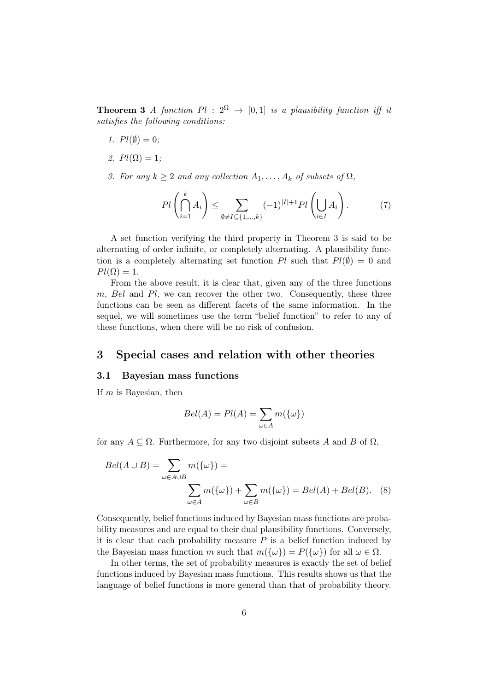**Theorem 3** A function  $Pl : 2^{\Omega} \rightarrow [0,1]$  is a plausibility function iff it satisfies the following conditions:

- 1.  $Pl(\emptyset) = 0$ ;
- 2.  $Pl(\Omega) = 1$ ;
- 3. For any  $k \geq 2$  and any collection  $A_1, \ldots, A_k$  of subsets of  $\Omega$ ,

$$
Pl\left(\bigcap_{i=1}^k A_i\right) \le \sum_{\emptyset \ne I \subseteq \{1,\dots,k\}} (-1)^{|I|+1} Pl\left(\bigcup_{i \in I} A_i\right). \tag{7}
$$

A set function verifying the third property in Theorem 3 is said to be alternating of order infinite, or completely alternating. A plausibility function is a completely alternating set function Pl such that  $Pl(\emptyset) = 0$  and  $Pl(\Omega) = 1.$ 

From the above result, it is clear that, given any of the three functions m, Bel and Pl, we can recover the other two. Consequently, these three functions can be seen as different facets of the same information. In the sequel, we will sometimes use the term "belief function" to refer to any of these functions, when there will be no risk of confusion.

### 3 Special cases and relation with other theories

#### 3.1 Bayesian mass functions

If  $m$  is Bayesian, then

$$
Bel(A) = Pl(A) = \sum_{\omega \in A} m(\{\omega\})
$$

for any  $A \subseteq \Omega$ . Furthermore, for any two disjoint subsets A and B of  $\Omega$ ,

$$
Bel(A \cup B) = \sum_{\omega \in A \cup B} m(\{\omega\}) =
$$

$$
\sum_{\omega \in A} m(\{\omega\}) + \sum_{\omega \in B} m(\{\omega\}) = Bel(A) + Bel(B). \quad (8)
$$

Consequently, belief functions induced by Bayesian mass functions are probability measures and are equal to their dual plausibility functions. Conversely, it is clear that each probability measure  $P$  is a belief function induced by the Bayesian mass function m such that  $m({\{\omega\}}) = P({\{\omega\}})$  for all  $\omega \in \Omega$ .

In other terms, the set of probability measures is exactly the set of belief functions induced by Bayesian mass functions. This results shows us that the language of belief functions is more general than that of probability theory.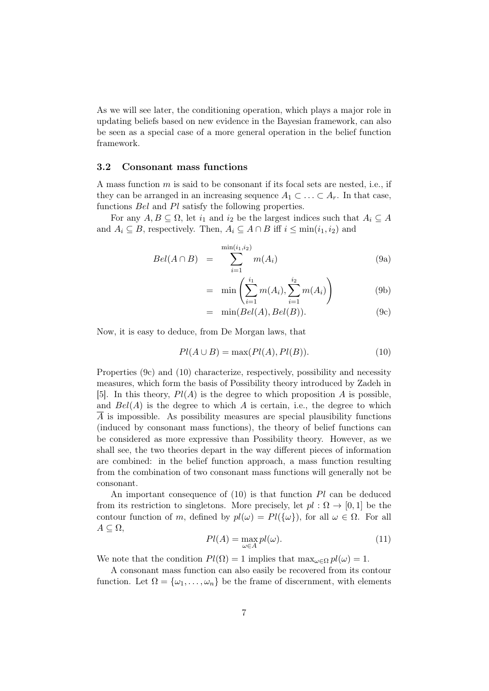As we will see later, the conditioning operation, which plays a major role in updating beliefs based on new evidence in the Bayesian framework, can also be seen as a special case of a more general operation in the belief function framework.

#### 3.2 Consonant mass functions

A mass function  $m$  is said to be consonant if its focal sets are nested, i.e., if they can be arranged in an increasing sequence  $A_1 \subset \ldots \subset A_r$ . In that case, functions Bel and Pl satisfy the following properties.

For any  $A, B \subseteq \Omega$ , let  $i_1$  and  $i_2$  be the largest indices such that  $A_i \subseteq A$ and  $A_i \subseteq B$ , respectively. Then,  $A_i \subseteq A \cap B$  iff  $i \leq \min(i_1, i_2)$  and

$$
Bel(A \cap B) = \sum_{i=1}^{\min(i_1, i_2)} m(A_i)
$$
 (9a)

$$
= \min \left( \sum_{i=1}^{i_1} m(A_i), \sum_{i=1}^{i_2} m(A_i) \right) \tag{9b}
$$

$$
= \min(Bel(A), Bel(B)). \tag{9c}
$$

Now, it is easy to deduce, from De Morgan laws, that

$$
Pl(A \cup B) = \max(Pl(A), Pl(B)).
$$
\n(10)

Properties (9c) and (10) characterize, respectively, possibility and necessity measures, which form the basis of Possibility theory introduced by Zadeh in [5]. In this theory,  $Pl(A)$  is the degree to which proposition A is possible, and  $Bel(A)$  is the degree to which A is certain, i.e., the degree to which  $\overline{A}$  is impossible. As possibility measures are special plausibility functions (induced by consonant mass functions), the theory of belief functions can be considered as more expressive than Possibility theory. However, as we shall see, the two theories depart in the way different pieces of information are combined: in the belief function approach, a mass function resulting from the combination of two consonant mass functions will generally not be consonant.

An important consequence of  $(10)$  is that function Pl can be deduced from its restriction to singletons. More precisely, let  $pl : \Omega \to [0,1]$  be the contour function of m, defined by  $pl(\omega) = Pl({\omega}$ , for all  $\omega \in \Omega$ . For all  $A \subseteq \Omega$ ,

$$
Pl(A) = \max_{\omega \in A} pl(\omega).
$$
 (11)

We note that the condition  $Pl(\Omega) = 1$  implies that  $\max_{\omega \in \Omega} pl(\omega) = 1$ .

A consonant mass function can also easily be recovered from its contour function. Let  $\Omega = {\omega_1, \ldots, \omega_n}$  be the frame of discernment, with elements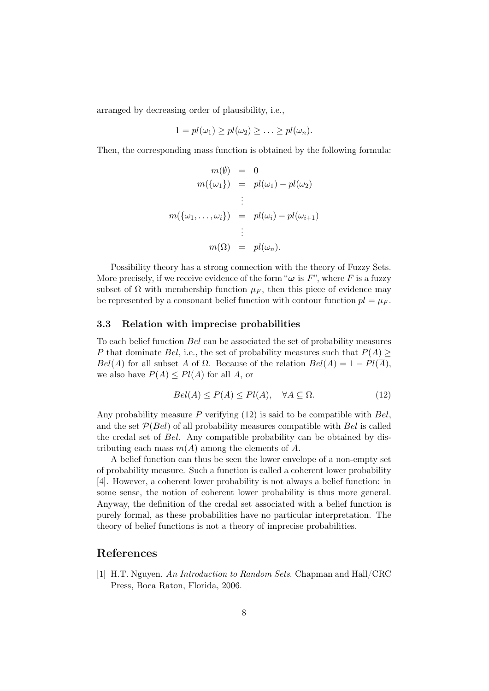arranged by decreasing order of plausibility, i.e.,

$$
1 = pl(\omega_1) \ge pl(\omega_2) \ge \ldots \ge pl(\omega_n).
$$

Then, the corresponding mass function is obtained by the following formula:

$$
m(\emptyset) = 0
$$
  
\n
$$
m(\{\omega_1\}) = pl(\omega_1) - pl(\omega_2)
$$
  
\n
$$
\vdots
$$
  
\n
$$
m(\{\omega_1, \dots, \omega_i\}) = pl(\omega_i) - pl(\omega_{i+1})
$$
  
\n
$$
\vdots
$$
  
\n
$$
m(\Omega) = pl(\omega_n).
$$

Possibility theory has a strong connection with the theory of Fuzzy Sets. More precisely, if we receive evidence of the form " $\omega$  is F", where F is a fuzzy subset of  $\Omega$  with membership function  $\mu_F$ , then this piece of evidence may be represented by a consonant belief function with contour function  $pl = \mu_F$ .

#### 3.3 Relation with imprecise probabilities

To each belief function Bel can be associated the set of probability measures P that dominate Bel, i.e., the set of probability measures such that  $P(A) \geq$ Bel(A) for all subset A of  $\Omega$ . Because of the relation  $Bel(A) = 1 - Pl(\overline{A})$ , we also have  $P(A) \leq P(A)$  for all A, or

$$
Bel(A) \le P(A) \le Pl(A), \quad \forall A \subseteq \Omega.
$$
 (12)

Any probability measure  $P$  verifying (12) is said to be compatible with  $Bel$ , and the set  $P(Bel)$  of all probability measures compatible with Bel is called the credal set of Bel. Any compatible probability can be obtained by distributing each mass  $m(A)$  among the elements of A.

A belief function can thus be seen the lower envelope of a non-empty set of probability measure. Such a function is called a coherent lower probability [4]. However, a coherent lower probability is not always a belief function: in some sense, the notion of coherent lower probability is thus more general. Anyway, the definition of the credal set associated with a belief function is purely formal, as these probabilities have no particular interpretation. The theory of belief functions is not a theory of imprecise probabilities.

# References

[1] H.T. Nguyen. An Introduction to Random Sets. Chapman and Hall/CRC Press, Boca Raton, Florida, 2006.